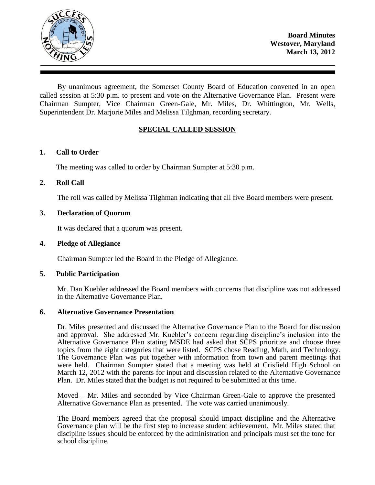

By unanimous agreement, the Somerset County Board of Education convened in an open called session at 5:30 p.m. to present and vote on the Alternative Governance Plan. Present were Chairman Sumpter, Vice Chairman Green-Gale, Mr. Miles, Dr. Whittington, Mr. Wells, Superintendent Dr. Marjorie Miles and Melissa Tilghman, recording secretary.

# **SPECIAL CALLED SESSION**

# **1. Call to Order**

The meeting was called to order by Chairman Sumpter at 5:30 p.m.

# **2. Roll Call**

The roll was called by Melissa Tilghman indicating that all five Board members were present.

# **3. Declaration of Quorum**

It was declared that a quorum was present.

### **4. Pledge of Allegiance**

Chairman Sumpter led the Board in the Pledge of Allegiance.

### **5. Public Participation**

Mr. Dan Kuebler addressed the Board members with concerns that discipline was not addressed in the Alternative Governance Plan.

### **6. Alternative Governance Presentation**

Dr. Miles presented and discussed the Alternative Governance Plan to the Board for discussion and approval. She addressed Mr. Kuebler's concern regarding discipline's inclusion into the Alternative Governance Plan stating MSDE had asked that SCPS prioritize and choose three topics from the eight categories that were listed. SCPS chose Reading, Math, and Technology. The Governance Plan was put together with information from town and parent meetings that were held. Chairman Sumpter stated that a meeting was held at Crisfield High School on March 12, 2012 with the parents for input and discussion related to the Alternative Governance Plan. Dr. Miles stated that the budget is not required to be submitted at this time.

Moved – Mr. Miles and seconded by Vice Chairman Green-Gale to approve the presented Alternative Governance Plan as presented. The vote was carried unanimously.

The Board members agreed that the proposal should impact discipline and the Alternative Governance plan will be the first step to increase student achievement. Mr. Miles stated that discipline issues should be enforced by the administration and principals must set the tone for school discipline.